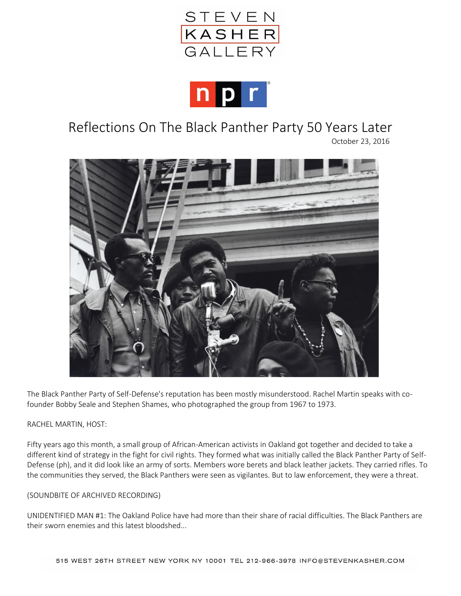



# Reflections On The Black Panther Party 50 Years Later

October 23, 2016



The Black Panther Party of Self-Defense's reputation has been mostly misunderstood. Rachel Martin speaks with cofounder Bobby Seale and Stephen Shames, who photographed the group from 1967 to 1973.

## RACHEL MARTIN, HOST:

Fifty years ago this month, a small group of African-American activists in Oakland got together and decided to take a different kind of strategy in the fight for civil rights. They formed what was initially called the Black Panther Party of Self-Defense (ph), and it did look like an army of sorts. Members wore berets and black leather jackets. They carried rifles. To the communities they served, the Black Panthers were seen as vigilantes. But to law enforcement, they were a threat.

#### (SOUNDBITE OF ARCHIVED RECORDING)

UNIDENTIFIED MAN #1: The Oakland Police have had more than their share of racial difficulties. The Black Panthers are their sworn enemies and this latest bloodshed...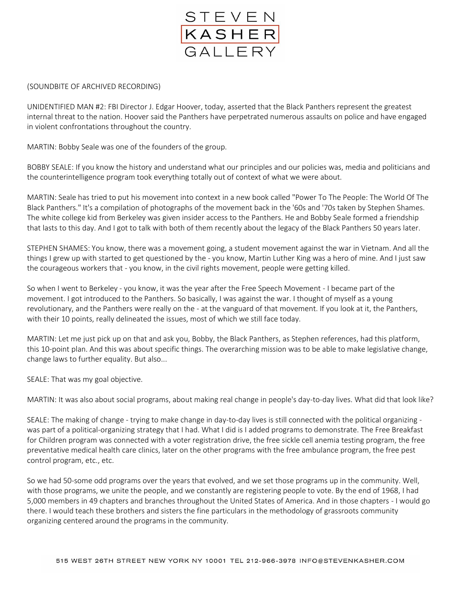

### (SOUNDBITE OF ARCHIVED RECORDING)

UNIDENTIFIED MAN #2: FBI Director J. Edgar Hoover, today, asserted that the Black Panthers represent the greatest internal threat to the nation. Hoover said the Panthers have perpetrated numerous assaults on police and have engaged in violent confrontations throughout the country.

MARTIN: Bobby Seale was one of the founders of the group.

BOBBY SEALE: If you know the history and understand what our principles and our policies was, media and politicians and the counterintelligence program took everything totally out of context of what we were about.

MARTIN: Seale has tried to put his movement into context in a new book called "Power To The People: The World Of The Black Panthers." It's a compilation of photographs of the movement back in the '60s and '70s taken by Stephen Shames. The white college kid from Berkeley was given insider access to the Panthers. He and Bobby Seale formed a friendship that lasts to this day. And I got to talk with both of them recently about the legacy of the Black Panthers 50 years later.

STEPHEN SHAMES: You know, there was a movement going, a student movement against the war in Vietnam. And all the things I grew up with started to get questioned by the - you know, Martin Luther King was a hero of mine. And I just saw the courageous workers that - you know, in the civil rights movement, people were getting killed.

So when I went to Berkeley - you know, it was the year after the Free Speech Movement - I became part of the movement. I got introduced to the Panthers. So basically, I was against the war. I thought of myself as a young revolutionary, and the Panthers were really on the - at the vanguard of that movement. If you look at it, the Panthers, with their 10 points, really delineated the issues, most of which we still face today.

MARTIN: Let me just pick up on that and ask you, Bobby, the Black Panthers, as Stephen references, had this platform, this 10-point plan. And this was about specific things. The overarching mission was to be able to make legislative change, change laws to further equality. But also...

SEALE: That was my goal objective.

MARTIN: It was also about social programs, about making real change in people's day-to-day lives. What did that look like?

SEALE: The making of change - trying to make change in day-to-day lives is still connected with the political organizing was part of a political-organizing strategy that I had. What I did is I added programs to demonstrate. The Free Breakfast for Children program was connected with a voter registration drive, the free sickle cell anemia testing program, the free preventative medical health care clinics, later on the other programs with the free ambulance program, the free pest control program, etc., etc.

So we had 50-some odd programs over the years that evolved, and we set those programs up in the community. Well, with those programs, we unite the people, and we constantly are registering people to vote. By the end of 1968, I had 5,000 members in 49 chapters and branches throughout the United States of America. And in those chapters - I would go there. I would teach these brothers and sisters the fine particulars in the methodology of grassroots community organizing centered around the programs in the community.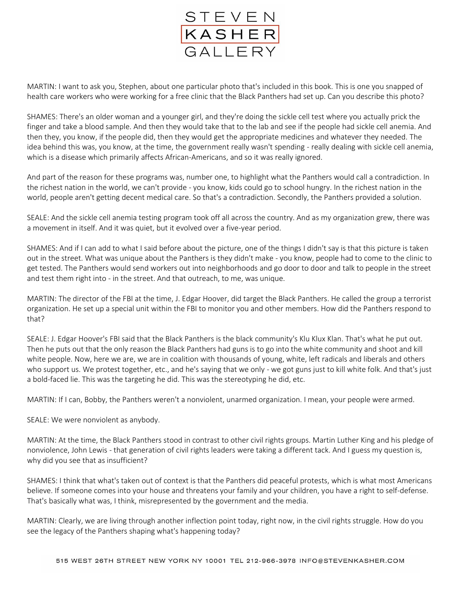

MARTIN: I want to ask you, Stephen, about one particular photo that's included in this book. This is one you snapped of health care workers who were working for a free clinic that the Black Panthers had set up. Can you describe this photo?

SHAMES: There's an older woman and a younger girl, and they're doing the sickle cell test where you actually prick the finger and take a blood sample. And then they would take that to the lab and see if the people had sickle cell anemia. And then they, you know, if the people did, then they would get the appropriate medicines and whatever they needed. The idea behind this was, you know, at the time, the government really wasn't spending - really dealing with sickle cell anemia, which is a disease which primarily affects African-Americans, and so it was really ignored.

And part of the reason for these programs was, number one, to highlight what the Panthers would call a contradiction. In the richest nation in the world, we can't provide - you know, kids could go to school hungry. In the richest nation in the world, people aren't getting decent medical care. So that's a contradiction. Secondly, the Panthers provided a solution.

SEALE: And the sickle cell anemia testing program took off all across the country. And as my organization grew, there was a movement in itself. And it was quiet, but it evolved over a five-year period.

SHAMES: And if I can add to what I said before about the picture, one of the things I didn't say is that this picture is taken out in the street. What was unique about the Panthers is they didn't make - you know, people had to come to the clinic to get tested. The Panthers would send workers out into neighborhoods and go door to door and talk to people in the street and test them right into - in the street. And that outreach, to me, was unique.

MARTIN: The director of the FBI at the time, J. Edgar Hoover, did target the Black Panthers. He called the group a terrorist organization. He set up a special unit within the FBI to monitor you and other members. How did the Panthers respond to that?

SEALE: J. Edgar Hoover's FBI said that the Black Panthers is the black community's Klu Klux Klan. That's what he put out. Then he puts out that the only reason the Black Panthers had guns is to go into the white community and shoot and kill white people. Now, here we are, we are in coalition with thousands of young, white, left radicals and liberals and others who support us. We protest together, etc., and he's saying that we only - we got guns just to kill white folk. And that's just a bold-faced lie. This was the targeting he did. This was the stereotyping he did, etc.

MARTIN: If I can, Bobby, the Panthers weren't a nonviolent, unarmed organization. I mean, your people were armed.

SEALE: We were nonviolent as anybody.

MARTIN: At the time, the Black Panthers stood in contrast to other civil rights groups. Martin Luther King and his pledge of nonviolence, John Lewis - that generation of civil rights leaders were taking a different tack. And I guess my question is, why did you see that as insufficient?

SHAMES: I think that what's taken out of context is that the Panthers did peaceful protests, which is what most Americans believe. If someone comes into your house and threatens your family and your children, you have a right to self-defense. That's basically what was, I think, misrepresented by the government and the media.

MARTIN: Clearly, we are living through another inflection point today, right now, in the civil rights struggle. How do you see the legacy of the Panthers shaping what's happening today?